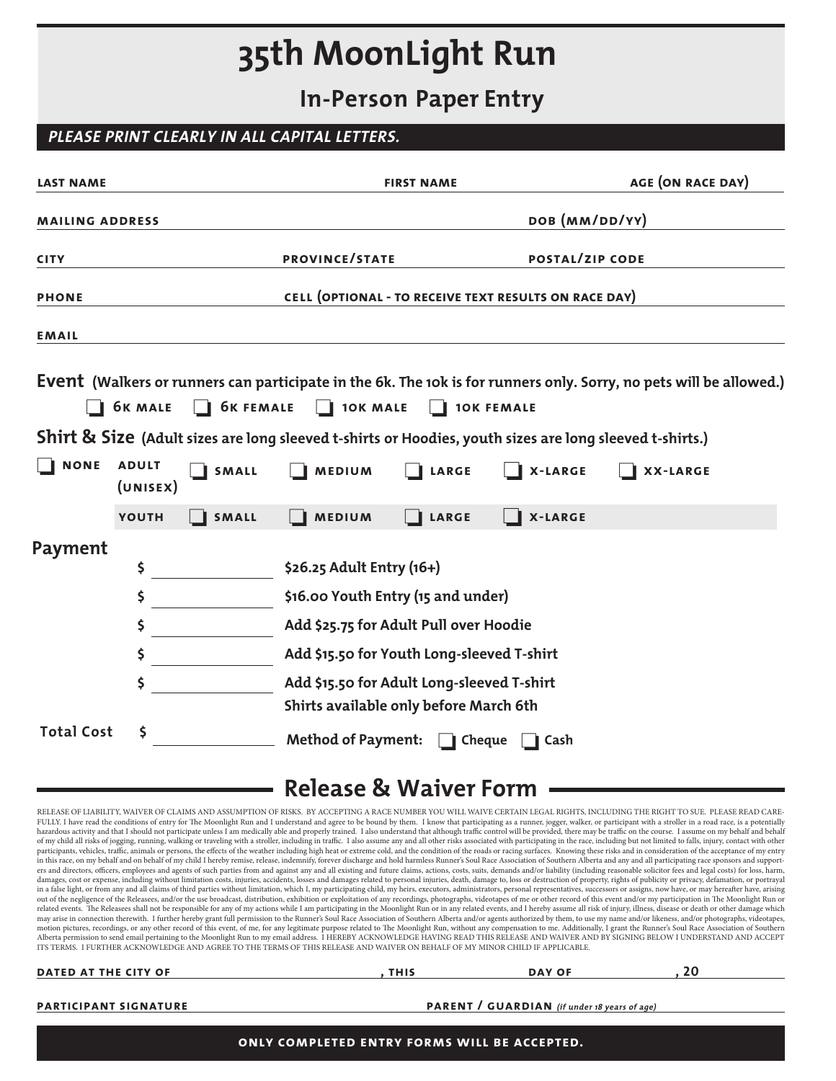# **35th MoonLight Run**

**In-Person Paper Entry**

### **PLEASE PRINT CLEARLY IN ALL CAPITAL LETTERS.**

| <b>LAST NAME</b>       |                          |                  | <b>FIRST NAME</b>                                               |                                                                                      |                                                                                                         | <b>AGE (ON RACE DAY)</b>                                                                                           |  |  |
|------------------------|--------------------------|------------------|-----------------------------------------------------------------|--------------------------------------------------------------------------------------|---------------------------------------------------------------------------------------------------------|--------------------------------------------------------------------------------------------------------------------|--|--|
| <b>MAILING ADDRESS</b> |                          |                  | DOB (MM/DD/YY)                                                  |                                                                                      |                                                                                                         |                                                                                                                    |  |  |
| <b>CITY</b>            |                          |                  | PROVINCE/STATE                                                  |                                                                                      |                                                                                                         | <b>POSTAL/ZIP CODE</b>                                                                                             |  |  |
| <b>PHONE</b>           |                          |                  | CELL (OPTIONAL - TO RECEIVE TEXT RESULTS ON RACE DAY)           |                                                                                      |                                                                                                         |                                                                                                                    |  |  |
| <b>EMAIL</b>           |                          |                  |                                                                 |                                                                                      |                                                                                                         |                                                                                                                    |  |  |
|                        | <b>6K MALE</b>           | <b>6K FEMALE</b> | 10K MALE                                                        | H                                                                                    | <b>10K FEMALE</b>                                                                                       | Event (Walkers or runners can participate in the 6k. The 10k is for runners only. Sorry, no pets will be allowed.) |  |  |
|                        |                          |                  |                                                                 |                                                                                      | Shirt & Size (Adult sizes are long sleeved t-shirts or Hoodies, youth sizes are long sleeved t-shirts.) |                                                                                                                    |  |  |
| <b>NONE</b>            | <b>ADULT</b><br>(UNISEX) | <b>SMALL</b>     | <b>MEDIUM</b>                                                   | <b>LARGE</b>                                                                         | <b>X-LARGE</b>                                                                                          | <b>XX-LARGE</b>                                                                                                    |  |  |
|                        | YOUTH                    | <b>SMALL</b>     | <b>MEDIUM</b>                                                   | <b>LARGE</b>                                                                         | <b>X-LARGE</b>                                                                                          |                                                                                                                    |  |  |
| Payment                | \$<br>\$                 |                  | \$26.25 Adult Entry (16+)<br>\$16.00 Youth Entry (15 and under) |                                                                                      |                                                                                                         |                                                                                                                    |  |  |
| \$                     |                          |                  |                                                                 | Add \$25.75 for Adult Pull over Hoodie                                               |                                                                                                         |                                                                                                                    |  |  |
|                        | \$                       |                  |                                                                 | Add \$15.50 for Youth Long-sleeved T-shirt                                           |                                                                                                         |                                                                                                                    |  |  |
|                        | \$                       |                  |                                                                 | Add \$15.50 for Adult Long-sleeved T-shirt<br>Shirts available only before March 6th |                                                                                                         |                                                                                                                    |  |  |
| <b>Total Cost</b>      | \$                       |                  | Method of Payment: <b>Full Cheque</b>                           |                                                                                      | Cash                                                                                                    |                                                                                                                    |  |  |

## **Release & Waiver Form**

RELEASE OF LIABILITY, WAIVER OF CLAIMS AND ASSUMPTION OF RISKS. BY ACCEPTING A RACE NUMBER YOU WILL WAIVE CERTAIN LEGAL RIGHTS, INCLUDING THE RIGHT TO SUE. PLEASE READ CARE-FULLY. I have read the conditions of entry for The Moonlight Run and I understand and agree to be bound by them. I know that participating as a runner, jogger, walker, or participant with a stroller in a road race, is a po hazardous activity and that I should not participate unless I am medically able and properly trained. I also understand that although traffic control will be provided, there may be traffic on the course. I assume on my beh participants, vehicles, traffic, animals or persons, the effects of the weather including high heat or extreme cold, and the condition of the roads or racing surfaces. Knowing these risks and in consideration of the accept in this race, on my behalf and on behalf of my child I hereby remise, release, indemnify, forever discharge and hold harmless Runner's Soul Race Association of Southern Alberta and any and all participating race sponsors a ers and directors, officers, employees and agents of such parties from and against any and all existing and future claims, actions, costs, suits, demands and/or liability (including reasonable solicitor fees and legal cost in a false light, or from any and all claims of third parties without limitation, which I, my participating child, my heirs, executors, administrators, personal representatives, successors or assigns, now have, or may here out of the negligence of the Releasees, and/or the use broadcast, distribution, exhibition or exploitation of any recordings, photographs, videotapes of me or other record of this event and/or my participation in The Moonl may arise in connection therewith. I further hereby grant full permission to the Runner's Soul Race Association of Southern Alberta and/or agents authorized by them, to use my name and/or likeness, and/or photographs, vide motion pictures, recordings, or any other record of this event, of me, for any legitimate purpose related to The Moonlight Run, without any compensation to me. Additionally, I grant the Runner's Soul Race Association of So ITS TERMS. I FURTHER ACKNOWLEDGE AND AGREE TO THE TERMS OF THIS RELEASE AND WAIVER ON BEHALF OF MY MINOR CHILD IF APPLICABLE.

| DATED AT THE CITY OF | <b>THIS</b> | <b>DAY OF</b> |  |
|----------------------|-------------|---------------|--|
|----------------------|-------------|---------------|--|

#### **participant signature participant signature participant / GUARDIAN** (if under 18 years of age)

**only completed entry forms will be accepted.**